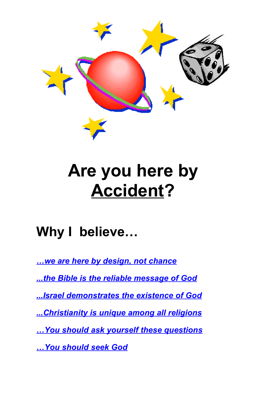

# **Are you here by Accident?**

## **Why I believe…**

*…we are here by design, not chance ...the Bible is the reliable message of God ...Israel demonstrates the existence of God ...Christianity is unique among all religions …You should ask yourself these questions …You should seek God*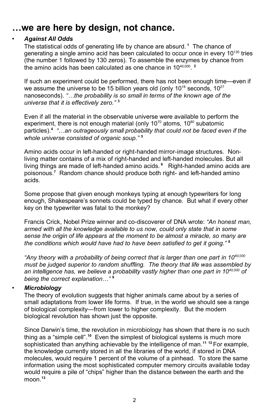## **…we are here by design, not chance.**

#### • *Against All Odds*

The statistical odds of generating life by chance are absurd. **<sup>1</sup>** The chance of generating a single amino acid has been calculated to occur once in every 10<sup>130</sup> tries (the number 1 followed by 130 zeros). To assemble the enzymes by chance from the amino acids has been calculated as one chance in 10<sup>40,000</sup>.<sup>2</sup>

If such an experiment could be performed, there has not been enough time—even if we assume the universe to be 15 billion years old (only 10<sup>18</sup> seconds, 10<sup>27</sup> nanoseconds). *"…the probability is so small in terms of the known age of the universe that it is effectively zero."* **3**

Even if all the material in the observable universe were available to perform the experiment, there is not enough material (only 10<sup>70</sup> atoms, 10<sup>80</sup> subatomic particles).**<sup>4</sup>** *"…an outrageously small probability that could not be faced even if the whole universe consisted of organic soup."* **5**

Amino acids occur in left-handed or right-handed mirror-image structures. Nonliving matter contains of a mix of right-handed and left-handed molecules. But all living things are made of left-handed amino acids. **<sup>6</sup>** Right-handed amino acids are poisonous.**<sup>7</sup>** Random chance should produce both right- and left-handed amino acids.

Some propose that given enough monkeys typing at enough typewriters for long enough, Shakespeare's sonnets could be typed by chance. But what if every other key on the typewriter was fatal to the monkey?

Francis Crick, Nobel Prize winner and co-discoverer of DNA wrote: *"An honest man, armed with all the knowledge available to us now, could only state that in some sense the origin of life appears at the moment to be almost a miracle, so many are the conditions which would have had to have been satisfied to get it going."* **<sup>8</sup>**

*"Any theory with a probability of being correct that is larger than one part in 1040,000 must be judged superior to random shuffling. The theory that life was assembled by an intelligence has, we believe a probability vastly higher than one part in 10 40,000 of being the correct explanation…"* **<sup>9</sup>**

#### • *Microbiology*

The theory of evolution suggests that higher animals came about by a series of small adaptations from lower life forms. If true, in the world we should see a range of biological complexity—from lower to higher complexity. But the modern biological revolution has shown just the opposite.

Since Darwin's time, the revolution in microbiology has shown that there is no such thing as a "simple cell". **<sup>10</sup>** Even the simplest of biological systems is much more sophisticated than anything achievable by the intelligence of man. **<sup>11</sup> <sup>12</sup>** For example, the knowledge currently stored in all the libraries of the world, if stored in DNA molecules, would require 1 percent of the volume of a pinhead. To store the same information using the most sophisticated computer memory circuits available today would require a pile of "chips" higher than the distance between the earth and the moon. **13**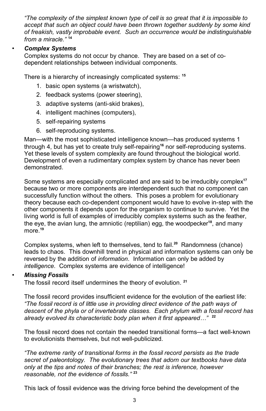*"The complexity of the simplest known type of cell is so great that it is impossible to accept that such an object could have been thrown together suddenly by some kind of freakish, vastly improbable event. Such an occurrence would be indistinguishable from a miracle."* **<sup>14</sup>**

#### • *Complex Systems*

Complex systems do not occur by chance. They are based on a set of codependent relationships between individual components.

There is a hierarchy of increasingly complicated systems: **15**

- 1. basic open systems (a wristwatch),
- 2. feedback systems (power steering),
- 3. adaptive systems (anti-skid brakes),
- 4. intelligent machines (computers),
- 5. self-repairing systems
- 6. self-reproducing systems.

Man—with the most sophisticated intelligence known—has produced systems 1 through 4, but has yet to create truly self-repairing**<sup>16</sup>** nor self-reproducing systems. Yet these levels of system complexity are found throughout the biological world. Development of even a rudimentary complex system by chance has never been demonstrated.

Some systems are especially complicated and are said to be irreducibly complex **17** because two or more components are interdependent such that no component can successfully function without the others. This poses a problem for evolutionary theory because each co-dependent component would have to evolve in-step with the other components it depends upon for the organism to continue to survive. Yet the living world is full of examples of irreducibly complex systems such as the feather, the eye, the avian lung, the amniotic (reptilian) egg, the woodpecker **18** , and many more.**<sup>19</sup>**

Complex systems, when left to themselves, tend to fail. **<sup>20</sup>** Randomness (chance) leads to chaos. This downhill trend in physical and information systems can only be reversed by the addition of *information*. Information can only be added by *intelligence*. Complex systems are evidence of intelligence!

#### • *Missing Fossils*

The fossil record itself undermines the theory of evolution. **21**

The fossil record provides insufficient evidence for the evolution of the earliest life: *"The fossil record is of little use in providing direct evidence of the path ways of descent of the phyla or of invertebrate classes. Each phylum with a fossil record has already evolved its characteristic body plan when it first appeared…"* **22**

The fossil record does not contain the needed transitional forms—a fact well-known to evolutionists themselves, but not well-publicized.

*"The extreme rarity of transitional forms in the fossil record persists as the trade secret of paleontology. The evolutionary trees that adorn our textbooks have data only at the tips and notes of their branches; the rest is inference, however reasonable, not the evidence of fossils."* **<sup>23</sup>**

This lack of fossil evidence was the driving force behind the development of the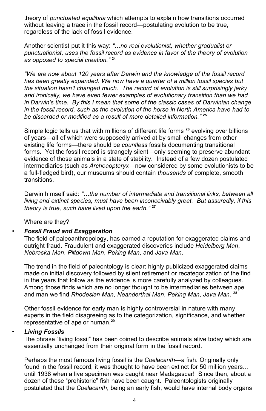theory of *punctuated equilibria* which attempts to explain how transitions occurred without leaving a trace in the fossil record—postulating evolution to be true, regardless of the lack of fossil evidence.

Another scientist put it this way: *"…no real evolutionist, whether gradualist or punctuationist, uses the fossil record as evidence in favor of the theory of evolution as opposed to special creation."* **24**

*"We are now about 120 years after Darwin and the knowledge of the fossil record has been greatly expanded. We now have a quarter of a million fossil species but the situation hasn't changed much. The record of evolution is still surprisingly jerky and ironically, we have even fewer examples of evolutionary transition than we had in Darwin's time. By this I mean that some of the classic cases of Darwinian change in the fossil record, such as the evolution of the horse in North America have had to be discarded or modified as a result of more detailed information."* **<sup>25</sup>**

Simple logic tells us that with millions of different life forms **<sup>26</sup>** evolving over billions of years—all of which were supposedly arrived at by small changes from other existing life forms—there should be *countless* fossils documenting transitional forms. Yet the fossil record is strangely silent—only seeming to preserve abundant evidence of those animals in a state of stability. Instead of a few dozen postulated intermediaries (such as *Archeaopteryx*—now considered by some evolutionists to be a full-fledged bird), our museums should contain *thousands* of complete, smooth transitions.

Darwin himself said: *"…the number of intermediate and transitional links, between all living and extinct species, must have been inconceivably great. But assuredly, if this theory is true, such have lived upon the earth."* **27**

Where are they?

#### • *Fossil Fraud and Exaggeration*

The field of paleoanthropology, has earned a reputation for exaggerated claims and outright fraud. Fraudulent and exaggerated discoveries include *Heidelberg Man*, *Nebraska Man*, *Piltdown Man*, *Peking Man*, and *Java Man*.

The trend in the field of paleontology is clear: highly publicized exaggerated claims made on initial discovery followed by silent retirement or recategorization of the find in the years that follow as the evidence is more carefully analyzed by colleagues. Among those finds which are no longer thought to be intermediaries between ape and man we find *Rhodesian Man*, *Neanderthal Man*, *Peking Man*, *Java Man*. **28**

Other fossil evidence for early man is highly controversial in nature with many experts in the field disagreeing as to the categorization, significance, and whether representative of ape or human.**<sup>29</sup>**

#### • *Living Fossils*

The phrase "living fossil" has been coined to describe animals alive today which are essentially unchanged from their original form in the fossil record.

Perhaps the most famous living fossil is the *Coelacanth*—a fish. Originally only found in the fossil record, it was thought to have been extinct for 50 million years… until 1938 when a live specimen was caught near Madagascar! Since then, about a dozen of these "prehistoric" fish have been caught. Paleontologists originally postulated that the *Coelacanth*, being an early fish, would have internal body organs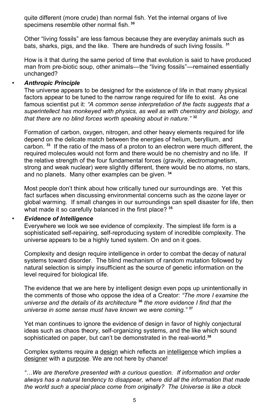quite different (more crude) than normal fish. Yet the internal organs of live specimens resemble other normal fish. **30**

Other "living fossils" are less famous because they are everyday animals such as bats, sharks, pigs, and the like. There are hundreds of such living fossils. **<sup>31</sup>**

How is it that during the same period of time that evolution is said to have produced man from pre-biotic soup, other animals—the "living fossils"—remained essentially unchanged?

#### • *Anthropic Principle*

The universe appears to be designed for the existence of life in that many physical factors appear to be tuned to the narrow range required for life to exist. As one famous scientist put it: *"A common sense interpretation of the facts suggests that a superintellect has monkeyed with physics, as well as with chemistry and biology, and that there are no blind forces worth speaking about in nature."* **<sup>32</sup>**

Formation of carbon, oxygen, nitrogen, and other heavy elements required for life depend on the delicate match between the energies of helium, beryllium, and carbon. **<sup>33</sup>** If the ratio of the mass of a proton to an electron were much different, the required molecules would not form and there would be no chemistry and no life. If the relative strength of the four fundamental forces (gravity, electromagnetism, strong and weak nuclear) were slightly different, there would be no atoms, no stars, and no planets. Many other examples can be given. **<sup>34</sup>**

Most people don't think about how critically tuned our surroundings are. Yet this fact surfaces when discussing environmental concerns such as the ozone layer or global warming. If small changes in our surroundings can spell disaster for life, then what made it so carefully balanced in the first place? **35**

#### • *Evidence of Intelligence*

Everywhere we look we see evidence of complexity. The simplest life form is a sophisticated self-repairing, self-reproducing system of incredible complexity. The universe appears to be a highly tuned system. On and on it goes.

Complexity and design require intelligence in order to combat the decay of natural systems toward disorder. The blind mechanism of random mutation followed by natural selection is simply insufficient as the source of genetic information on the level required for biological life.

The evidence that we are here by intelligent design even pops up unintentionally in the comments of those who oppose the idea of a Creator: *"The more I examine the universe and the details of its architecture* **<sup>36</sup>** *the more evidence I find that the universe in some sense must have known we were coming."* **37**

Yet man continues to ignore the evidence of design in favor of highly conjectural ideas such as chaos theory, self-organizing systems, and the like which sound sophisticated on paper, but can't be demonstrated in the real-world. **38**

Complex systems require a design which reflects an intelligence which implies a designer with a purpose. We are not here by chance!

*"…We are therefore presented with a curious question. If information and order always has a natural tendency to disappear, where did all the information that made the world such a special place come from originally? The Universe is like a clock*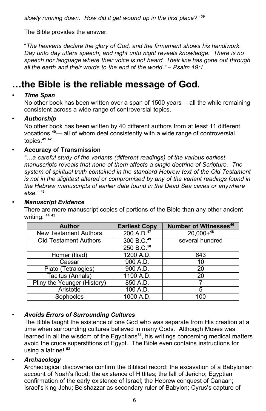*slowly running down. How did it get wound up in the first place?"* **39**

The Bible provides the answer:

"*The heavens declare the glory of God, and the firmament shows his handiwork. Day unto day utters speech, and night unto night reveals knowledge. There is no speech nor language where their voice is not heard Their line has gone out through all the earth and their words to the end of the world." – Psalm 19:1*

## **…the Bible is the reliable message of God.**

#### • *Time Span*

No other book has been written over a span of 1500 years— all the while remaining consistent across a wide range of controversial topics.

#### • *Authorship*

No other book has been written by 40 different authors from at least 11 different vocations **<sup>40</sup>**— all of whom deal consistently with a wide range of controversial topics. **41 42**

#### • **Accuracy of Transmission**

*"…a careful study of the variants (different readings) of the various earliest manuscripts reveals that none of them affects a single doctrine of Scripture. The system of spiritual truth contained in the standard Hebrew text of the Old Testament is not in the slightest altered or compromised by any of the variant readings found in the Hebrew manuscripts of earlier date found in the Dead Sea caves or anywhere else."* **<sup>43</sup>**

#### • *Manuscript Evidence*

There are more manuscript copies of portions of the Bible than any other ancient writing: **44 45**

| <b>Author</b>                | <b>Earliest Copy</b>   | <b>Number of Witnesses46</b> |
|------------------------------|------------------------|------------------------------|
| <b>New Testament Authors</b> | 200 A.D. <sup>47</sup> | $20,000 + 48$                |
| <b>Old Testament Authors</b> | 300 B.C. <sup>49</sup> | several hundred              |
|                              | 250 B.C. <sup>50</sup> |                              |
| Homer (Iliad)                | 1200 A.D.              | 643                          |
| Caesar                       | 900 A.D.               | 10                           |
| Plato (Tetralogies)          | 900 A.D.               | 20                           |
| Tacitus (Annals)             | 1100 A.D.              | 20                           |
| Pliny the Younger (History)  | 850 A.D.               |                              |
| Aristotle                    | 100 A.D.               | 5                            |
| Sophocles                    | 1000 A.D.              | 100                          |

#### • *Avoids Errors of Surrounding Cultures*

The Bible taught the existence of one God who was separate from His creation at a time when surrounding cultures believed in many Gods. Although Moses was learned in all the wisdom of the Egyptians**<sup>51</sup>** , his writings concerning medical matters avoid the crude superstitions of Egypt. The Bible even contains instructions for using a latrine! **<sup>52</sup>**

#### • *Archaeology*

Archeological discoveries confirm the Biblical record: the excavation of a Babylonian account of Noah's flood; the existence of Hittites; the fall of Jericho; Egyptian confirmation of the early existence of Israel; the Hebrew conquest of Canaan; Israel's king Jehu; Belshazzar as secondary ruler of Babylon; Cyrus's capture of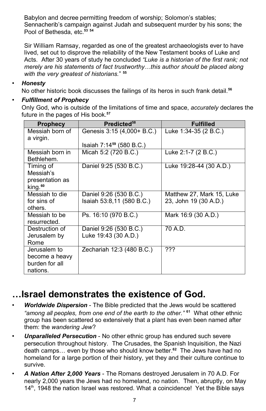Babylon and decree permitting freedom of worship; Solomon's stables; Sennacherib's campaign against Judah and subsequent murder by his sons; the Pool of Bethesda, etc.**<sup>53</sup> <sup>54</sup>**

Sir William Ramsay, regarded as one of the greatest archaeologists ever to have lived, set out to disprove the reliability of the New Testament books of Luke and Acts. After 30 years of study he concluded *"Luke is a historian of the first rank; not merely are his statements of fact trustworthy…this author should be placed along with the very greatest of historians.*" **55**

#### • *Honesty*

No other historic book discusses the failings of its heros in such frank detail. **56**

#### • *Fulfillment of Prophecy*

Only God, who is outside of the limitations of time and space, *accurately* declares the future in the pages of His book.**<sup>57</sup>**

| <b>Prophecy</b>                                                             | Predicted <sup>58</sup>                        | <b>Fulfilled</b>          |
|-----------------------------------------------------------------------------|------------------------------------------------|---------------------------|
| Messiah born of<br>a virgin.                                                | Genesis 3:15 (4,000+ B.C.)                     | Luke 1:34-35 (2 B.C.)     |
|                                                                             | Isaiah 7:14 <sup>59</sup> (580 B.C.)           |                           |
| Messiah born in<br>Bethlehem.                                               | Micah 5:2 (720 B.C.)                           | Luke 2:1-7 (2 B.C.)       |
| Timing of<br>Messiah's<br>presentation as<br>$\mathrm{king.}^{\mathrm{60}}$ | Daniel 9:25 (530 B.C.)                         | Luke 19:28-44 (30 A.D.)   |
| Messiah to die                                                              | Daniel 9:26 (530 B.C.)                         | Matthew 27, Mark 15, Luke |
| for sins of<br>others.                                                      | Isaiah 53:8,11 (580 B.C.)                      | 23, John 19 (30 A.D.)     |
| Messiah to be<br>resurrected.                                               | Ps. 16:10 (970 B.C.)                           | Mark 16:9 (30 A.D.)       |
| Destruction of<br>Jerusalem by<br>Rome                                      | Daniel 9:26 (530 B.C.)<br>Luke 19:43 (30 A.D.) | 70 A.D.                   |
| Jerusalem to<br>become a heavy<br>burden for all<br>nations.                | Zechariah 12:3 (480 B.C.)                      | ???                       |

## **…Israel demonstrates the existence of God.**

- *Worldwide Dispersion* The Bible predicted that the Jews would be scattered *"among all peoples, from one end of the earth to the other."* **<sup>61</sup>** What other ethnic group has been scattered so extensively that a plant has even been named after them: the *wandering Jew*?
- *Unparalleled Persecution* No other ethnic group has endured such severe persecution throughout history. The Crusades, the Spanish Inquisition, the Nazi death camps… even by those who should know better. **<sup>62</sup>** The Jews have had no homeland for a large portion of their history, yet they and their culture continue to survive.
- *A Nation After 2,000 Years* The Romans destroyed Jerusalem in 70 A.D. For nearly 2,000 years the Jews had no homeland, no nation. Then, abruptly, on May 14<sup>th</sup>, 1948 the nation Israel was restored. What a coincidence! Yet the Bible says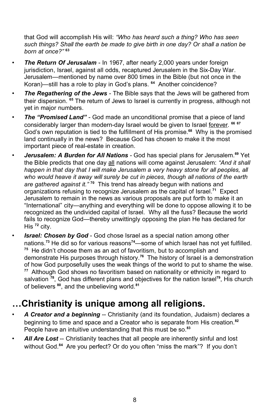that God will accomplish His will: *"Who has heard such a thing? Who has seen such things? Shall the earth be made to give birth in one day? Or shall a nation be born at once?"* **<sup>63</sup>**

- *The Return Of Jerusalam* In 1967, after nearly 2,000 years under foreign jurisdiction, Israel, against all odds, recaptured Jerusalem in the Six-Day War. Jerusalem—mentioned by name over 800 times in the Bible (but not once in the Koran)—still has a role to play in God's plans. **<sup>64</sup>** Another coincidence?
- *The Regathering of the Jews* The Bible says that the Jews will be gathered from their dispersion. **<sup>65</sup>** The return of Jews to Israel is currently in progress, although not yet in major numbers.
- *The "Promised Land"* God made an unconditional promise that a piece of land considerably larger than modern-day Israel would be given to Israel forever. **66 67** God's own reputation is tied to the fulfillment of His promise.**<sup>68</sup>** Why is the promised land continually in the news? Because God has chosen to make it the most important piece of real-estate in creation.
- *Jerusalem: A Burden for All Nations -* God has special plans for Jerusalem. **<sup>69</sup>** Yet the Bible predicts that one day all nations will come against Jerusalem: *"And it shall happen in that day that I will make Jerusalem a very heavy stone for all peoples, all who would heave it away will surely be cut in pieces, though all nations of the earth are gathered against it."* **<sup>70</sup>** This trend has already begun with nations and organizations refusing to recognize Jerusalem as the capital of Israel. **<sup>71</sup>** Expect Jerusalem to remain in the news as various proposals are put forth to make it an "International" city—anything and everything will be done to oppose allowing it to be recognized as the undivided capital of Israel. Why all the fuss? Because the world fails to recognize God—thereby unwittingly opposing the plan He has declared for His **<sup>72</sup>** city.
- *Israel: Chosen by God* God chose Israel as a special nation among other nations.**<sup>73</sup>** He did so for various reasons **<sup>74</sup>**—some of which Israel has not yet fulfilled. **<sup>75</sup>** He didn't choose them as an act of favoritism, but to accomplish and demonstrate His purposes through history. **<sup>76</sup>** The history of Israel is a demonstration of how God purposefully uses the weak things of the world to put to shame the wise. **<sup>77</sup>** Although God shows no favoritism based on nationality or ethnicity in regard to salvation <sup>78</sup>, God has different plans and objectives for the nation Israel<sup>79</sup>, His church of believers **80** , and the unbelieving world.**<sup>81</sup>**

## **…Christianity is unique among all religions.**

- *A Creator and a beginning* -- Christianity (and its foundation, Judaism) declares a beginning to time and space and a Creator who is separate from His creation.**<sup>82</sup>** People have an intuitive understanding that this must be so.**<sup>83</sup>**
- *All Are Lost* -- Christianity teaches that all people are inherently sinful and lost without God.**<sup>84</sup>** Are you perfect? Or do you often "miss the mark"? If you don't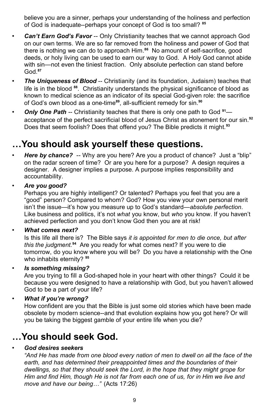believe you are a sinner, perhaps your understanding of the holiness and perfection of God is inadequate--perhaps your concept of God is too small? **85**

- *Can't Earn God's Favor* -- Only Christianity teaches that we cannot approach God on our own terms. We are so far removed from the holiness and power of God that there is nothing we can do to approach Him. **<sup>86</sup>** No amount of self-sacrifice, good deeds, or holy living can be used to earn our way to God. A Holy God cannot abide with sin—not even the tiniest fraction. Only absolute perfection can stand before God.**<sup>87</sup>**
- *The Uniqueness of Blood* -- Christianity (and its foundation, Judaism) teaches that life is in the blood **<sup>88</sup>** . Christianity understands the physical significance of blood as known to medical science as an indicator of its special God-given role: the sacrifice of God's own blood as a one-time**<sup>89</sup>** , all-sufficient remedy for sin.**<sup>90</sup>**
- *Only One Path* -- Christianity teaches that there is only one path to God **<sup>91</sup>** acceptance of the perfect sacrificial blood of Jesus Christ as atonement for our sin.**<sup>92</sup>** Does that seem foolish? Does that offend you? The Bible predicts it might.**<sup>93</sup>**

## **…You should ask yourself these questions.**

- *Here by chance?* -- Why are you here? Are you a product of chance? Just a "blip" on the radar screen of time? Or are you here for a purpose? A design requires a designer. A designer implies a purpose. A purpose implies responsibility and accountability.
- *Are you good?*

Perhaps you are highly intelligent? Or talented? Perhaps you feel that you are a "good" person? Compared to whom? God? How you view your own personal merit isn't the issue—it's how you measure up to God's standard—*absolute perfection*. Like business and politics, it's not *what* you know, but *who* you know. If you haven't achieved perfection and you don't know God then you are at risk!

• *What comes next?*

Is this life all there is? The Bible says *it is appointed for men to die once, but after this the judgment.* **<sup>94</sup>** Are you ready for what comes next? If you were to die tomorrow, do you know where you will be? Do you have a relationship with the One who inhabits eternity? **<sup>95</sup>**

• *Is something missing?*

Are you trying to fill a God-shaped hole in your heart with other things? Could it be because you were designed to have a relationship with God, but you haven't allowed God to be a part of your life?

• *What if you're wrong?*

How confident are you that the Bible is just some old stories which have been made obsolete by modern science--and that evolution explains how you got here? Or will you be taking the biggest gamble of your entire life when you die?

## **…You should seek God.**

#### • *God desires seekers*

*"And He has made from one blood every nation of men to dwell on all the face of the earth, and has determined their preappointed times and the boundaries of their dwellings, so that they should seek the Lord, in the hope that they might grope for Him and find Him, though He is not far from each one of us, for in Him we live and move and have our being…"* (Acts 17:26)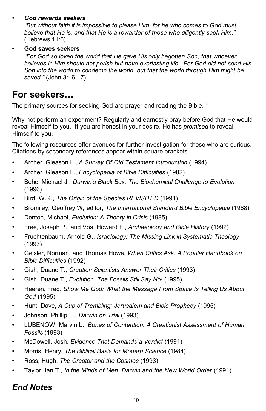#### • *God rewards seekers*

*"But without faith it is impossible to please Him, for he who comes to God must believe that He is, and that He is a rewarder of those who diligently seek Him."* (Hebrews 11:6)

#### • **God saves seekers**

*"For God so loved the world that He gave His only begotten Son, that whoever believes in Him should not perish but have everlasting life. For God did not send His Son into the world to condemn the world, but that the world through Him might be saved."* (John 3:16-17)

## **For seekers…**

The primary sources for seeking God are prayer and reading the Bible.**<sup>96</sup>**

Why not perform an experiment? Regularly and earnestly pray before God that He would reveal Himself to you. If you are honest in your desire, He has *promised* to reveal Himself to you.

The following resources offer avenues for further investigation for those who are curious. Citations by secondary references appear within square brackets.

- Archer, Gleason L., *A Survey Of Old Testament Introduction* (1994)
- Archer, Gleason L., *Encyclopedia of Bible Difficulties* (1982)
- Behe, Michael J., *Darwin's Black Box: The Biochemical Challenge to Evolution* (1996)
- Bird, W.R., *The Origin of the Species REVISITED* (1991)
- Bromiley, Geoffrey W, editor, *The International Standard Bible Encyclopedia* (1988)
- Denton, Michael, *Evolution: A Theory in Crisis* (1985)
- Free, Joseph P., and Vos, Howard F., *Archaeology and Bible History* (1992)
- Fruchtenbaum, Arnold G., *Israelology: The Missing Link in Systematic Theology* (1993)
- Geisler, Norman, and Thomas Howe, *When Critics Ask: A Popular Handbook on Bible Difficulties* (1992)
- Gish, Duane T., *Creation Scientists Answer Their Critics* (1993)
- Gish, Duane T., *Evolution: The Fossils Still Say No!* (1995)
- Heeren, Fred, *Show Me God: What the Message From Space Is Telling Us About God* (1995)
- Hunt, Dave, *A Cup of Trembling: Jerusalem and Bible Prophecy* (1995)
- Johnson, Phillip E., *Darwin on Trial* (1993)
- LUBENOW, Marvin L., *Bones of Contention: A Creationist Assessment of Human Fossils* (1993)
- McDowell, Josh, *Evidence That Demands a Verdict* (1991)
- Morris, Henry, *The Biblical Basis for Modern Science* (1984)
- Ross, Hugh, *The Creator and the Cosmos* (1993)
- Taylor, Ian T., *In the Minds of Men: Darwin and the New World Order* (1991)

### *End Notes*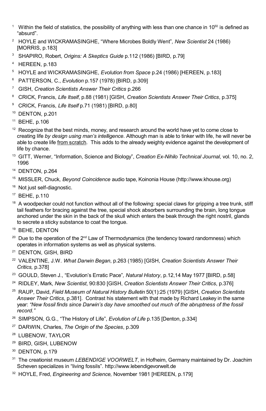- <sup>1</sup> Within the field of statistics, the possibility of anything with less than one chance in 10<sup>50</sup> is defined as "absurd".
- HOYLE and WICKRAMASINGHE, "Where Microbes Boldly Went"*, New Scientist* 24 (1986) [MORRIS, p.183]
- SHAPIRO, Robert, *Origins: A Skeptics Guide* p.112 (1986) [BIRD, p.79]
- HEREEN, p.183
- HOYLE and WICKRAMASINGHE, *Evolution from Space* p.24 (1986) [HEREEN, p.183]
- PATTERSON, C., *Evolution* p.157 (1978) [BIRD, p.309]
- GISH, *Creation Scientists Answer Their Critics* p.266
- CRICK, Francis, *Life Itself*, p.88 (1981) [GISH, *Creation Scientists Answer Their Critics*, p.375]
- CRICK, Francis, *Life Itself* p.71 (1981) [BIRD, p.80]
- DENTON, p.201
- BEHE, p.106
- Recognize that the best minds, money, and research around the world have yet to come close to creating life *by design using man's intelligence*. Although man is able to tinker with life, he will never be able to create life from scratch. This adds to the already weighty evidence against the development of life by chance.
- GITT, Werner, "Information, Science and Biology", *Creation Ex-Nihilo Technical Journal*, vol. 10, no. 2,
- DENTON, p.264
- MISSLER, Chuck*, Beyond Coincidence* audio tape, Koinonia House (http://www.khouse.org)
- <sup>16</sup> Not just self-diagnostic.
- BEHE, p.110
- A woodpecker could not function without all of the following: special claws for gripping a tree trunk, stiff tail feathers for bracing against the tree, special shock absorbers surrounding the brain, long tongue anchored under the skin in the back of the skull which enters the beak through the right nostril, glands to secrete a sticky substance to coat the tongue.
- BEHE, DENTON
- <sup>20</sup> Due to the operation of the 2<sup>nd</sup> Law of Thermodynamics (the tendency toward randomness) which operates in information systems as well as physical systems.
- DENTON, GISH, BIRD
- VALENTINE, J.W. *What Darwin Began*, p.263 (1985) [GISH, *Creation Scientists Answer Their Critics,* p.378]
- GOULD, Steven J., "Evolution's Erratic Pace"*, Natural History*, p.12,14 May 1977 [BIRD, p.58]
- RIDLEY, Mark, *New Scientist*, 90:830 [GISH, *Creation Scientists Answer Their Critics*, p.376]
- RAUP, David, *Field Museum of Natural History Bulletin* 50(1):25 (1979) [GISH, *Creation Scientists Answer Their Critics*, p.381]. Contrast his statement with that made by Richard Leakey in the same year: *"New fossil finds since Darwin's day have smoothed out much of the abruptness of the fossil record."*
- SIMPSON, G.G., "The History of Life", *Evolution of Life* p.135 [Denton, p.334]
- DARWIN, Charles, *The Origin of the Species*, p.309
- LUBENOW, TAYLOR
- BIRD, GISH, LUBENOW
- <sup>30</sup> DENTON, p.179
- The creationist museum *LEBENDIGE VOORWELT*, in Hofheim, Germany maintained by Dr. Joachim Scheven specializes in "living fossils". http://www.lebendigevorwelt.de
- HOYLE, Fred, *Engineering and Science,* November 1981 [HEREEN, p.179]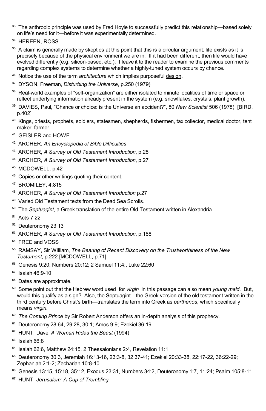- 33 The anthropic principle was used by Fred Hoyle to successfully predict this relationship—based solely on life's need for it—before it was experimentally determined.
- <sup>34</sup> HEREEN, ROSS
- A claim is generally made by skeptics at this point that this is a circular argument: life exists as it is precisely because of the physical environment we are in. If it had been different, then life would have evolved differently (e.g. silicon-based, etc.). I leave it to the reader to examine the previous comments regarding complex systems to determine whether a highly-tuned system occurs by chance.
- <sup>36</sup> Notice the use of the term *architecture* which implies purposeful design.
- DYSON, Freeman, *Disturbing the Universe*, p.250 (1979)
- <sup>38</sup> Real-world examples of "self-organization" are either isolated to minute localities of time or space or reflect underlying information already present in the system (e.g. snowflakes, crystals, plant growth).
- DAVIES, Paul*,* "Chance or choice: is the Universe an accident?", 80 *New Scientist* 506 (1978). [BIRD, p.402]
- Kings, priests, prophets, soldiers, statesmen, shepherds, fishermen, tax collector, medical doctor, tent maker, farmer.
- GEISLER and HOWE
- ARCHER, *An Encyclopedia of Bible Difficulties*
- ARCHER, *A Survey of Old Testament Introduction*, p.28
- ARCHER, *A Survey of Old Testament Introduction*, p.27
- MCDOWELL, p.42
- Copies or other writings quoting their content.
- BROMILEY, 4:815
- ARCHER, *A Survey of Old Testament Introduction* p.27
- Varied Old Testament texts from the Dead Sea Scrolls.
- The *Septuagint*, a Greek translation of the entire Old Testament written in Alexandria.
- Acts 7:22
- Deuteronomy 23:13
- ARCHER, *A Survey of Old Testament Introduction*, p.188
- FREE and VOSS
- RAMSAY, Sir William, *The Bearing of Recent Discovery on the Trustworthiness of the New Testament*, p.222 [MCDOWELL, p.71]
- Genesis 9:20; Numbers 20:12; 2 Samuel 11:4;, Luke 22:60
- Isaiah 46:9-10
- Dates are approximate.
- Some point out that the Hebrew word used for *virgin* in this passage can also mean *young maid*. But, would this qualify as a sign? Also, the Septuagint—the Greek version of the old testament written in the third century before Christ's birth—translates the term into Greek as *parthenos*, which specifically means *virgin*.
- *The Coming Prince* by Sir Robert Anderson offers an in-depth analysis of this prophecy.
- Deuteronomy 28:64, 29:28, 30:1; Amos 9:9; Ezekiel 36:19
- HUNT, Dave, *A Woman Rides the Beast* (1994)
- Isaiah 66:8
- Isaiah 62:6, Matthew 24:15, 2 Thessalonians 2:4, Revelation 11:1
- Deuteronomy 30:3, Jeremiah 16:13-16, 23:3-8, 32:37-41; Ezekiel 20:33-38, 22:17-22, 36:22-29; Zephaniah 2:1-2; Zechariah 10:8-10
- Genesis 13:15, 15:18, 35:12, Exodus 23:31, Numbers 34:2, Deuteronomy 1:7, 11:24; Psalm 105:8-11
- HUNT, *Jerusalem: A Cup of Trembling*